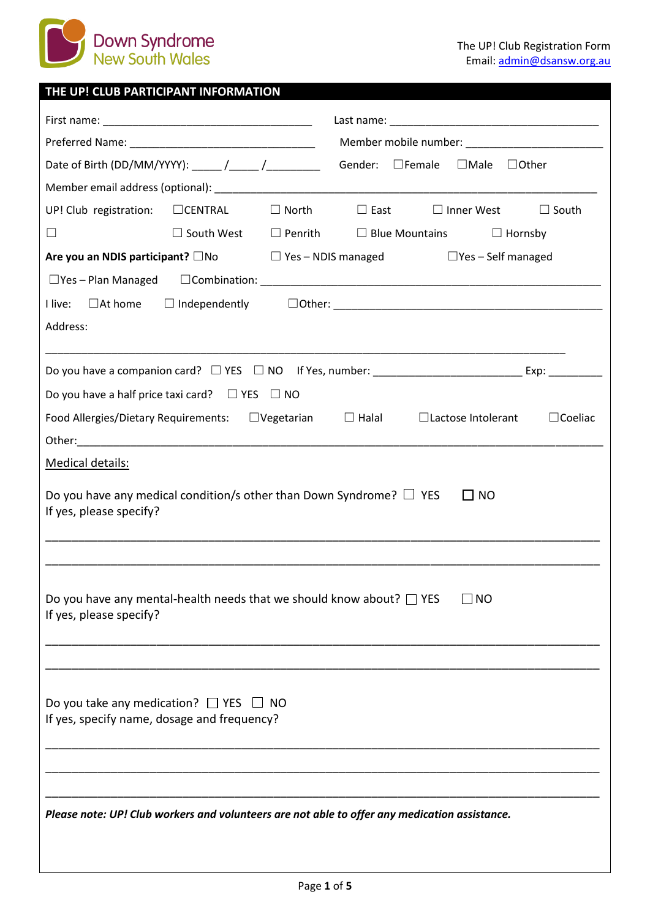

## **THE UP! CLUB PARTICIPANT INFORMATION**

|                                                                                                                                                                                                                                | Gender: □Female<br>$\Box$ Male $\Box$ Other                                           |  |  |  |
|--------------------------------------------------------------------------------------------------------------------------------------------------------------------------------------------------------------------------------|---------------------------------------------------------------------------------------|--|--|--|
|                                                                                                                                                                                                                                |                                                                                       |  |  |  |
| UP! Club registration: $\Box$ CENTRAL<br>$\Box$ North                                                                                                                                                                          | $\Box$ East<br>$\Box$ Inner West<br>$\Box$ South                                      |  |  |  |
| $\Box$                                                                                                                                                                                                                         | $\Box$ South West $\Box$ Penrith $\Box$ Blue Mountains $\Box$ Hornsby                 |  |  |  |
| Are you an NDIS participant? $\square$ No $\square$ Yes - NDIS managed                                                                                                                                                         | $\Box$ Yes – Self managed                                                             |  |  |  |
|                                                                                                                                                                                                                                |                                                                                       |  |  |  |
| $\square$ At home<br>$\Box$ Independently<br>I live:                                                                                                                                                                           |                                                                                       |  |  |  |
| Address:                                                                                                                                                                                                                       |                                                                                       |  |  |  |
|                                                                                                                                                                                                                                |                                                                                       |  |  |  |
|                                                                                                                                                                                                                                |                                                                                       |  |  |  |
| Do you have a half price taxi card? $\Box$ YES $\Box$ NO                                                                                                                                                                       |                                                                                       |  |  |  |
| Food Allergies/Dietary Requirements: □ Vegetarian                                                                                                                                                                              | $\Box$ Halal<br>$\Box$ Coeliac<br>□ Lactose Intolerant                                |  |  |  |
| Other: will be a state of the state of the state of the state of the state of the state of the state of the state of the state of the state of the state of the state of the state of the state of the state of the state of t |                                                                                       |  |  |  |
| Medical details:                                                                                                                                                                                                               |                                                                                       |  |  |  |
| If yes, please specify?                                                                                                                                                                                                        | Do you have any medical condition/s other than Down Syndrome? $\Box$ YES<br><b>NO</b> |  |  |  |
|                                                                                                                                                                                                                                |                                                                                       |  |  |  |
| Do you have any mental-health needs that we should know about? $\Box$ YES<br>$\Box$ NO<br>If yes, please specify?                                                                                                              |                                                                                       |  |  |  |
| Do you take any medication? $\Box$ YES $\Box$ NO<br>If yes, specify name, dosage and frequency?                                                                                                                                |                                                                                       |  |  |  |
| Please note: UP! Club workers and volunteers are not able to offer any medication assistance.                                                                                                                                  |                                                                                       |  |  |  |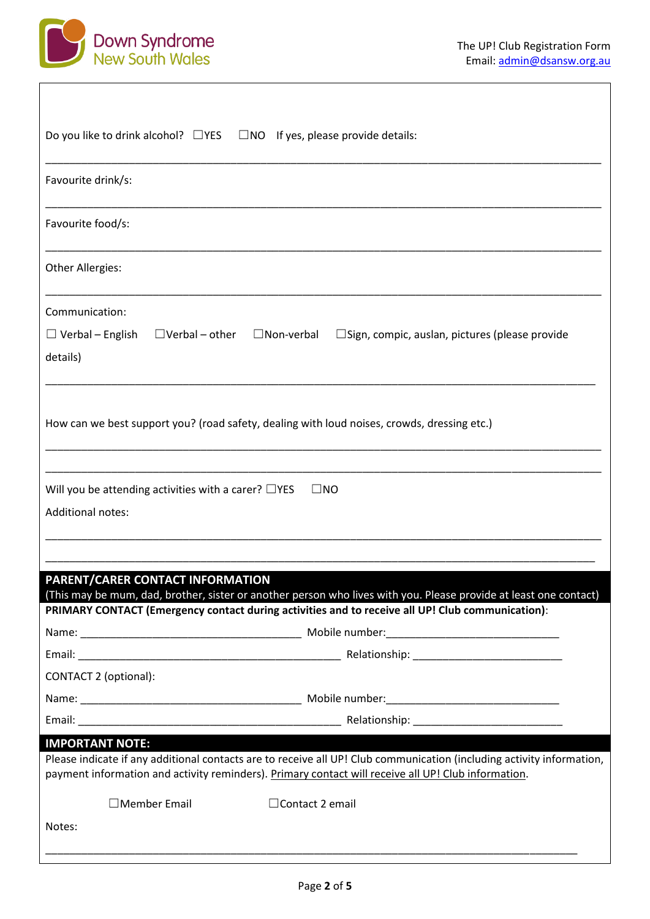



| Do you like to drink alcohol? $\Box$ YES<br>$\Box$ NO If yes, please provide details:                                                                                                                                                                  |  |  |  |
|--------------------------------------------------------------------------------------------------------------------------------------------------------------------------------------------------------------------------------------------------------|--|--|--|
| Favourite drink/s:                                                                                                                                                                                                                                     |  |  |  |
| Favourite food/s:                                                                                                                                                                                                                                      |  |  |  |
| Other Allergies:                                                                                                                                                                                                                                       |  |  |  |
| Communication:                                                                                                                                                                                                                                         |  |  |  |
| $\Box$ Verbal – English<br>$\Box$ Verbal – other<br>$\Box$ Non-verbal<br>$\square$ Sign, compic, auslan, pictures (please provide                                                                                                                      |  |  |  |
| details)                                                                                                                                                                                                                                               |  |  |  |
| How can we best support you? (road safety, dealing with loud noises, crowds, dressing etc.)                                                                                                                                                            |  |  |  |
| Will you be attending activities with a carer? $\Box$ YES<br>$\Box$ NO                                                                                                                                                                                 |  |  |  |
| <b>Additional notes:</b>                                                                                                                                                                                                                               |  |  |  |
|                                                                                                                                                                                                                                                        |  |  |  |
|                                                                                                                                                                                                                                                        |  |  |  |
| <b>PARENT/CARER CONTACT INFORMATION</b>                                                                                                                                                                                                                |  |  |  |
| (This may be mum, dad, brother, sister or another person who lives with you. Please provide at least one contact)                                                                                                                                      |  |  |  |
| PRIMARY CONTACT (Emergency contact during activities and to receive all UP! Club communication):                                                                                                                                                       |  |  |  |
|                                                                                                                                                                                                                                                        |  |  |  |
|                                                                                                                                                                                                                                                        |  |  |  |
| CONTACT 2 (optional):                                                                                                                                                                                                                                  |  |  |  |
|                                                                                                                                                                                                                                                        |  |  |  |
|                                                                                                                                                                                                                                                        |  |  |  |
| <b>IMPORTANT NOTE:</b><br>Please indicate if any additional contacts are to receive all UP! Club communication (including activity information,<br>payment information and activity reminders). Primary contact will receive all UP! Club information. |  |  |  |
| $\Box$ Member Email<br>$\Box$ Contact 2 email                                                                                                                                                                                                          |  |  |  |
| Notes:                                                                                                                                                                                                                                                 |  |  |  |
|                                                                                                                                                                                                                                                        |  |  |  |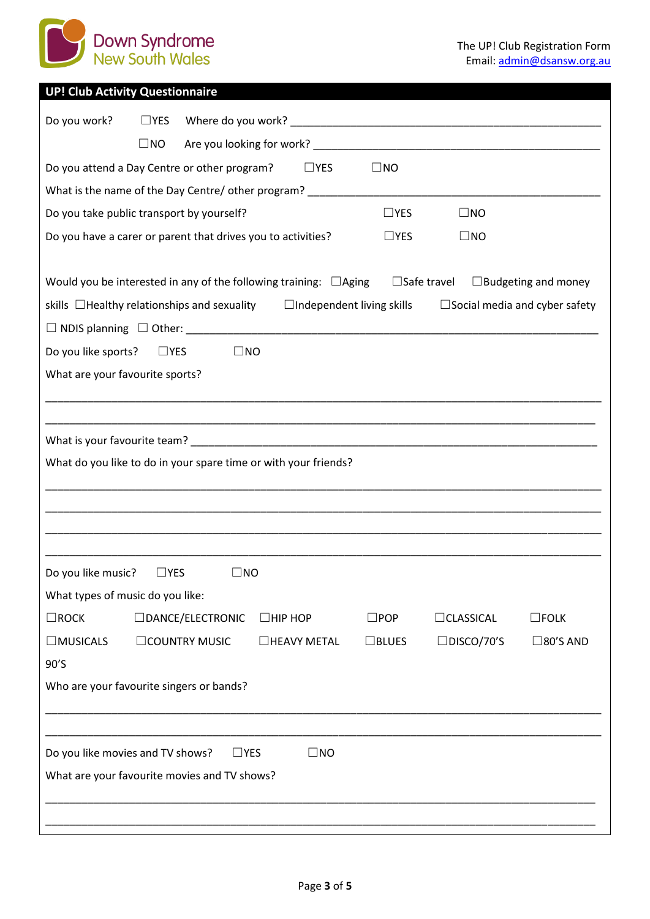

|  | <b>UP! Club Activity Questionnaire</b> |  |  |
|--|----------------------------------------|--|--|
|  |                                        |  |  |

| Do you work?                     | $\Box$ YES                                                                       |                                  |                 |                       |                                      |
|----------------------------------|----------------------------------------------------------------------------------|----------------------------------|-----------------|-----------------------|--------------------------------------|
|                                  | $\square$ NO                                                                     |                                  |                 |                       |                                      |
|                                  | Do you attend a Day Centre or other program?                                     | $\Box$ YES                       | $\square$ NO    |                       |                                      |
|                                  | What is the name of the Day Centre/ other program? _____________________________ |                                  |                 |                       |                                      |
|                                  | Do you take public transport by yourself?                                        |                                  | $\Box$ YES      | $\square$ NO          |                                      |
|                                  | Do you have a carer or parent that drives you to activities?                     |                                  | $\Box$ YES      | $\square$ NO          |                                      |
|                                  |                                                                                  |                                  |                 |                       |                                      |
|                                  | Would you be interested in any of the following training: $\Box$ Aging           |                                  |                 | $\Box$ Safe travel    | $\Box$ Budgeting and money           |
|                                  | skills $\Box$ Healthy relationships and sexuality                                | $\Box$ Independent living skills |                 |                       | $\Box$ Social media and cyber safety |
|                                  |                                                                                  |                                  |                 |                       |                                      |
| Do you like sports?              | $\square$ YES                                                                    | $\Box$ NO                        |                 |                       |                                      |
| What are your favourite sports?  |                                                                                  |                                  |                 |                       |                                      |
|                                  |                                                                                  |                                  |                 |                       |                                      |
|                                  |                                                                                  |                                  |                 |                       |                                      |
|                                  |                                                                                  |                                  |                 |                       |                                      |
|                                  | What do you like to do in your spare time or with your friends?                  |                                  |                 |                       |                                      |
|                                  |                                                                                  |                                  |                 |                       |                                      |
|                                  |                                                                                  |                                  |                 |                       |                                      |
|                                  |                                                                                  |                                  |                 |                       |                                      |
| Do you like music?               | $\square$ YES                                                                    | $\square$ NO                     |                 |                       |                                      |
| What types of music do you like: |                                                                                  |                                  |                 |                       |                                      |
| $\Box$ ROCK                      | $\Box$ DANCE/ELECTRONIC                                                          | $\Box$ HIP HOP                   | $\square$ POP   | $\sqsupset$ CLASSICAL | $\square$ FOLK                       |
| $\Box$ MUSICALS                  | <b>COUNTRY MUSIC</b>                                                             | □HEAVY METAL                     | $\square$ BLUES | $\square$ DISCO/70'S  | $\square$ 80'S AND                   |
| 90'S                             |                                                                                  |                                  |                 |                       |                                      |
|                                  | Who are your favourite singers or bands?                                         |                                  |                 |                       |                                      |
|                                  |                                                                                  |                                  |                 |                       |                                      |
|                                  |                                                                                  |                                  |                 |                       |                                      |
|                                  | Do you like movies and TV shows?                                                 | $\Box$ YES<br>$\square$ NO       |                 |                       |                                      |
|                                  | What are your favourite movies and TV shows?                                     |                                  |                 |                       |                                      |
|                                  |                                                                                  |                                  |                 |                       |                                      |
|                                  |                                                                                  |                                  |                 |                       |                                      |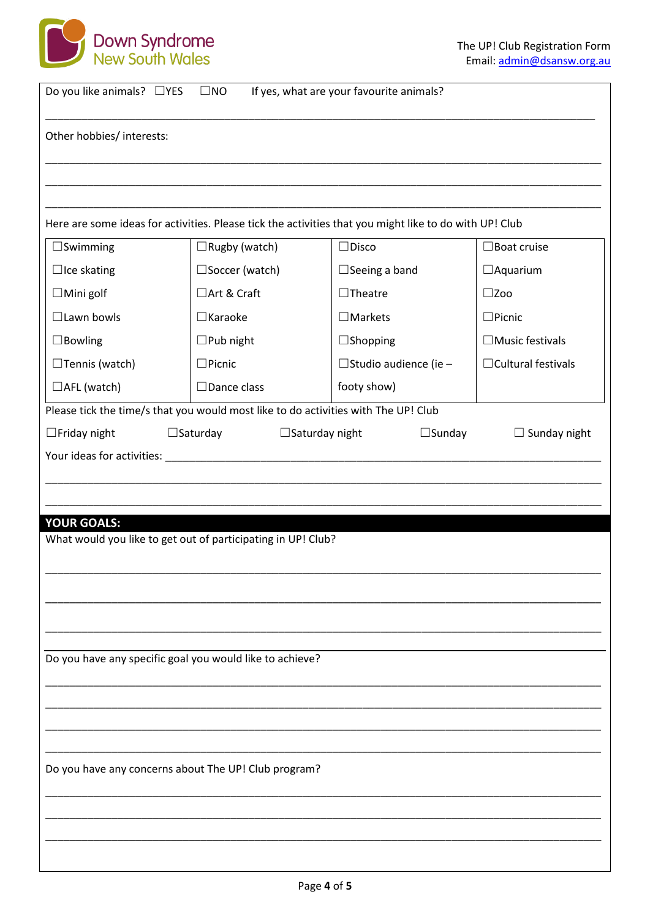

| Do you like animals? $\Box$ YES<br>$\square$ NO<br>If yes, what are your favourite animals? |                                                                                    |                                                                                                        |                           |  |
|---------------------------------------------------------------------------------------------|------------------------------------------------------------------------------------|--------------------------------------------------------------------------------------------------------|---------------------------|--|
| Other hobbies/ interests:                                                                   |                                                                                    |                                                                                                        |                           |  |
|                                                                                             |                                                                                    |                                                                                                        |                           |  |
|                                                                                             |                                                                                    |                                                                                                        |                           |  |
|                                                                                             |                                                                                    | Here are some ideas for activities. Please tick the activities that you might like to do with UP! Club |                           |  |
| $\Box$ Swimming                                                                             | $\Box$ Rugby (watch)                                                               | $\Box$ Disco                                                                                           | $\Box$ Boat cruise        |  |
| $\Box$ Ice skating                                                                          | $\square$ Soccer (watch)                                                           | $\Box$ Seeing a band                                                                                   | $\Box$ Aquarium           |  |
| $\Box$ Mini golf                                                                            | □Art & Craft                                                                       | $\Box$ Theatre                                                                                         | $\square$ Zoo             |  |
| $\Box$ Lawn bowls                                                                           | $\Box$ Karaoke                                                                     | $\Box$ Markets                                                                                         | $\square$ Picnic          |  |
| $\Box$ Bowling                                                                              | $\square$ Pub night                                                                | $\Box$ Shopping                                                                                        | $\Box$ Music festivals    |  |
| $\Box$ Tennis (watch)                                                                       | $\Box$ Picnic                                                                      | $\Box$ Studio audience (ie -                                                                           | $\Box$ Cultural festivals |  |
| $\Box$ AFL (watch)                                                                          | $\Box$ Dance class                                                                 | footy show)                                                                                            |                           |  |
|                                                                                             | Please tick the time/s that you would most like to do activities with The UP! Club |                                                                                                        |                           |  |
| $\Box$ Friday night                                                                         | $\square$ Saturday                                                                 | $\square$ Sunday<br>$\Box$ Saturday night                                                              | $\Box$ Sunday night       |  |
|                                                                                             |                                                                                    |                                                                                                        |                           |  |
|                                                                                             |                                                                                    |                                                                                                        |                           |  |
|                                                                                             |                                                                                    |                                                                                                        |                           |  |
| <b>YOUR GOALS:</b>                                                                          |                                                                                    |                                                                                                        |                           |  |
|                                                                                             | What would you like to get out of participating in UP! Club?                       |                                                                                                        |                           |  |
|                                                                                             |                                                                                    |                                                                                                        |                           |  |
|                                                                                             |                                                                                    |                                                                                                        |                           |  |
|                                                                                             |                                                                                    |                                                                                                        |                           |  |
|                                                                                             |                                                                                    |                                                                                                        |                           |  |
|                                                                                             |                                                                                    |                                                                                                        |                           |  |
|                                                                                             | Do you have any specific goal you would like to achieve?                           |                                                                                                        |                           |  |
|                                                                                             |                                                                                    |                                                                                                        |                           |  |
|                                                                                             |                                                                                    |                                                                                                        |                           |  |
|                                                                                             |                                                                                    |                                                                                                        |                           |  |
|                                                                                             |                                                                                    |                                                                                                        |                           |  |
| Do you have any concerns about The UP! Club program?                                        |                                                                                    |                                                                                                        |                           |  |
|                                                                                             |                                                                                    |                                                                                                        |                           |  |
|                                                                                             |                                                                                    |                                                                                                        |                           |  |
|                                                                                             |                                                                                    |                                                                                                        |                           |  |